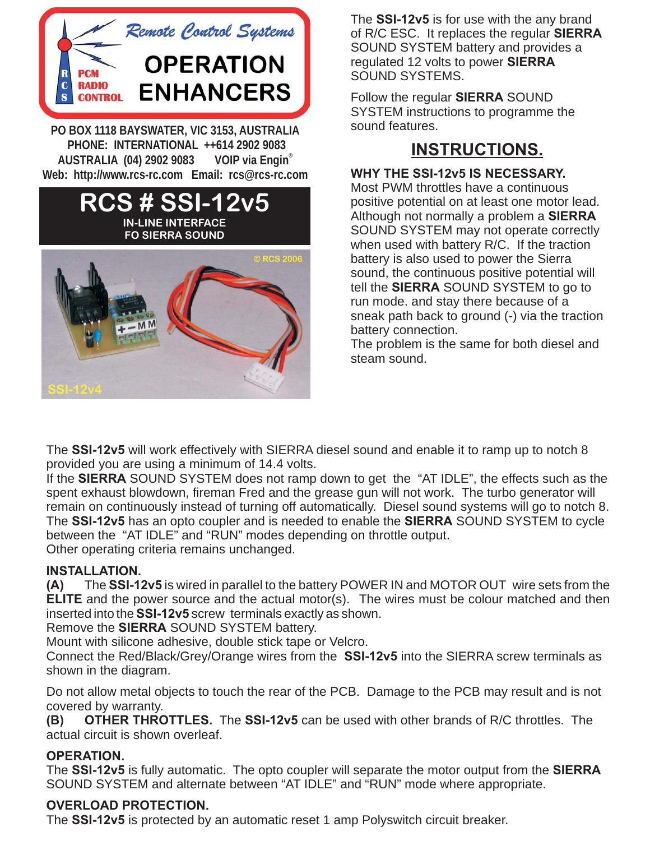

**PO BOX 1118 BAYSWATER, VIC 3153, AUSTRALIA** AUSTRALIA (04) 2902 9083 VOIP via Engin® Web: http://www.rcs-rc.com Email: rcs@rcs-rc.com

## **Web: http://www.rcs-rc.com Email: rcs@rcs-rc.comRCS # SSI-12v5 IN-LINE INTERFACE FO SIERRA SOUND RCS 200**



The SSI-12v5 is for use with the any brand of R/C ESC. It replaces the regular **SIERRA** SOUND SYSTEM battery and provides a regulated 12 volts to power **SIERRA** SOUND SYSTEMS.

Follow the regular **SIERRA** SOUND SYSTEM instructions to programme the sound features.

# **INSTRUCTIONS.**

### **WHY THE SSI-12v5 IS NECESSARY.**

when used with battery R/C. If the traction .<br>Although not normally a problem a SIERRA tell the **SIERRA** SOUND SYSTEM to go to Most PWM throttles have a continuous positive potential on at least one motor lead. SOUND SYSTEM may not operate correctly battery is also used to power the Sierra sound, the continuous positive potential will run mode. and stay there because of a sneak path back to ground (-) via the traction battery connection.

The problem is the same for both diesel and steam sound.

The SSI-12v5 will work effectively with SIERRA diesel sound and enable it to ramp up to notch 8 provided you are using a minimum of 14.4 volts.

If the SIERRA SOUND SYSTEM does not ramp down to get the "AT IDLE", the effects such as the spent exhaust blowdown, fireman Fred and the grease gun will not work. The turbo generator will remain on continuously instead of turning off automatically. Diesel sound systems will go to notch 8. The SSI-12v5 has an opto coupler and is needed to enable the SIERRA SOUND SYSTEM to cycle between the "AT IDLE" and "RUN" modes depending on throttle output. Other operating criteria remains unchanged.

#### **INSTALLATION.**

(A) The SSI-12v5 is wired in parallel to the battery POWER IN and MOTOR OUT wire sets from the **ELITE** and the power source and the actual motor(s). The wires must be colour matched and then inserted into the SSI-12v5 screw terminals exactly as shown.

Remove the **SIERRA** SOUND SYSTEM battery.

Mount with silicone adhesive, double stick tape or Velcro.

Connect the Red/Black/Grey/Orange wires from the SSI-12v5 into the SIERRA screw terminals as shown in the diagram.

Do not allow metal objects to touch the rear of the PCB. Damage to the PCB may result and is not covered by warranty.

(B) OTHER THROTTLES. The SSI-12v5 can be used with other brands of R/C throttles. The actual circuit is shown overleaf.

#### **OPERATION.**

The SSI-12v5 is fully automatic. The opto coupler will separate the motor output from the SIERRA SOUND SYSTEM and alternate between "AT IDLE" and "RUN" mode where appropriate.

#### **OVERLOAD PROTECTION.**

The SSI-12v5 is protected by an automatic reset 1 amp Polyswitch circuit breaker.